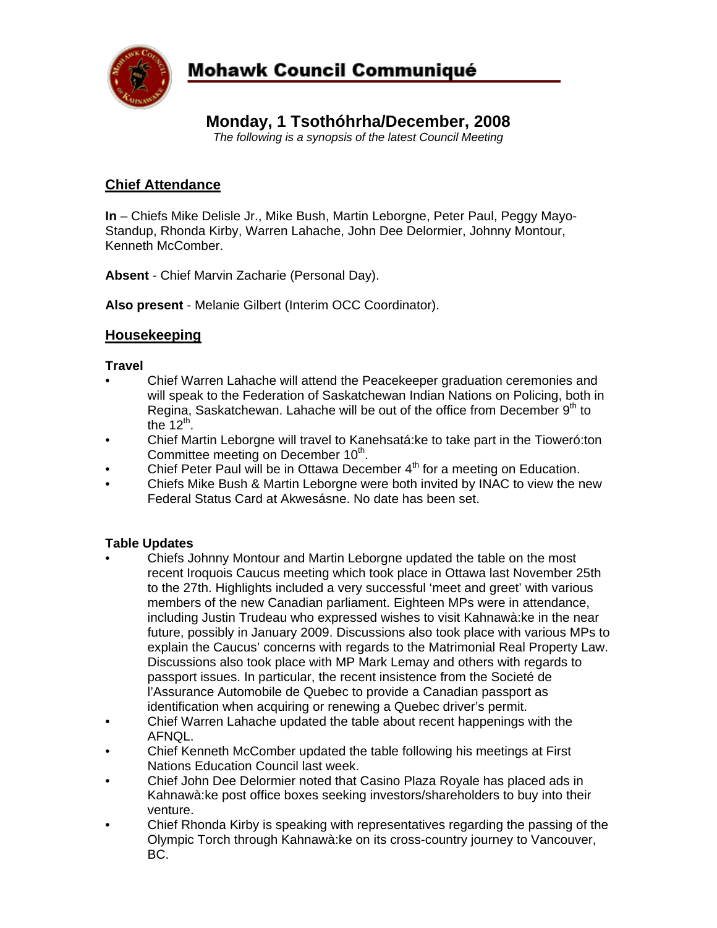

# **Mohawk Council Communiqué**

# **Monday, 1 Tsothóhrha/December, 2008**

*The following is a synopsis of the latest Council Meeting* 

## **Chief Attendance**

**In** – Chiefs Mike Delisle Jr., Mike Bush, Martin Leborgne, Peter Paul, Peggy Mayo-Standup, Rhonda Kirby, Warren Lahache, John Dee Delormier, Johnny Montour, Kenneth McComber.

**Absent** - Chief Marvin Zacharie (Personal Day).

**Also present** - Melanie Gilbert (Interim OCC Coordinator).

### **Housekeeping**

#### **Travel**

- Chief Warren Lahache will attend the Peacekeeper graduation ceremonies and will speak to the Federation of Saskatchewan Indian Nations on Policing, both in Regina, Saskatchewan. Lahache will be out of the office from December  $9<sup>th</sup>$  to the  $12<sup>th</sup>$ .
- Chief Martin Leborgne will travel to Kanehsatá:ke to take part in the Tioweró:ton Committee meeting on December 10<sup>th</sup>.
- Chief Peter Paul will be in Ottawa December  $4<sup>th</sup>$  for a meeting on Education.
- Chiefs Mike Bush & Martin Leborgne were both invited by INAC to view the new Federal Status Card at Akwesásne. No date has been set.

#### **Table Updates**

- Chiefs Johnny Montour and Martin Leborgne updated the table on the most recent Iroquois Caucus meeting which took place in Ottawa last November 25th to the 27th. Highlights included a very successful 'meet and greet' with various members of the new Canadian parliament. Eighteen MPs were in attendance, including Justin Trudeau who expressed wishes to visit Kahnawà:ke in the near future, possibly in January 2009. Discussions also took place with various MPs to explain the Caucus' concerns with regards to the Matrimonial Real Property Law. Discussions also took place with MP Mark Lemay and others with regards to passport issues. In particular, the recent insistence from the Societé de l'Assurance Automobile de Quebec to provide a Canadian passport as identification when acquiring or renewing a Quebec driver's permit.
- Chief Warren Lahache updated the table about recent happenings with the AFNQL.
- Chief Kenneth McComber updated the table following his meetings at First Nations Education Council last week.
- Chief John Dee Delormier noted that Casino Plaza Royale has placed ads in Kahnawà:ke post office boxes seeking investors/shareholders to buy into their venture.
- Chief Rhonda Kirby is speaking with representatives regarding the passing of the Olympic Torch through Kahnawà:ke on its cross-country journey to Vancouver, BC.